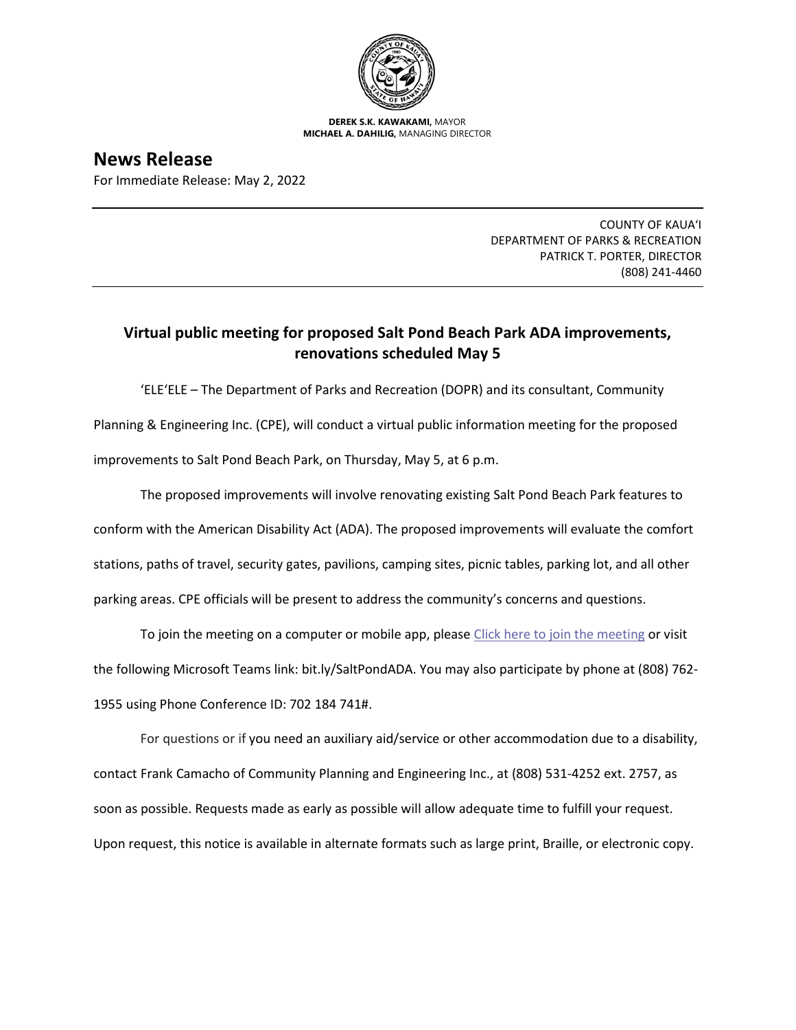

**DEREK S.K. KAWAKAMI,** MAYOR **MICHAEL A. DAHILIG,** MANAGING DIRECTOR

**News Release** For Immediate Release: May 2, 2022

> COUNTY OF KAUA'I DEPARTMENT OF PARKS & RECREATION PATRICK T. PORTER, DIRECTOR (808) 241-4460

## **Virtual public meeting for proposed Salt Pond Beach Park ADA improvements, renovations scheduled May 5**

'ELE'ELE – The Department of Parks and Recreation (DOPR) and its consultant, Community Planning & Engineering Inc. (CPE), will conduct a virtual public information meeting for the proposed improvements to Salt Pond Beach Park, on Thursday, May 5, at 6 p.m.

The proposed improvements will involve renovating existing Salt Pond Beach Park features to conform with the American Disability Act (ADA). The proposed improvements will evaluate the comfort stations, paths of travel, security gates, pavilions, camping sites, picnic tables, parking lot, and all other parking areas. CPE officials will be present to address the community's concerns and questions.

To join the meeting on a computer or mobile app, pleas[e Click here to join the meeting](https://nam11.safelinks.protection.outlook.com/ap/t-59584e83/?url=https%3A%2F%2Fteams.microsoft.com%2Fl%2Fmeetup-join%2F19%253ameeting_MjMyYzQzZjYtYTY4OC00MmE0LWE1MDAtMmUxYTQwMjRlZWRm%2540thread.v2%2F0%3Fcontext%3D%257b%2522Tid%2522%253a%252207e978d3-49bb-4f6c-948d-2908f2e20014%2522%252c%2522Oid%2522%253a%25227a4518d1-80ac-430d-8046-450216db8fe4%2522%257d&data=04%7C01%7Ccoya%40cpe-hawaii.com%7Cee7a5a19a9334abaf81308da19a1ff2c%7C07e978d349bb4f6c948d2908f2e20014%7C0%7C0%7C637850480796955707%7CUnknown%7CTWFpbGZsb3d8eyJWIjoiMC4wLjAwMDAiLCJQIjoiV2luMzIiLCJBTiI6Ik1haWwiLCJXVCI6Mn0%3D%7C3000&sdata=yNhnmEdv%2FqRPKgb0lsF5Sk9k3kMobUYE7cbKjMvIUKc%3D&reserved=0) or visit the following Microsoft Teams link: bit.ly/SaltPondADA. You may also participate by phone at (808) 762- 1955 using Phone Conference ID: 702 184 741#.

For questions or if you need an auxiliary aid/service or other accommodation due to a disability, contact Frank Camacho of Community Planning and Engineering Inc., at (808) 531-4252 ext. 2757, as soon as possible. Requests made as early as possible will allow adequate time to fulfill your request. Upon request, this notice is available in alternate formats such as large print, Braille, or electronic copy.